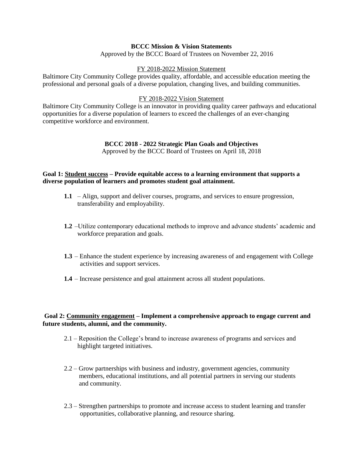# **BCCC Mission & Vision Statements**

Approved by the BCCC Board of Trustees on November 22, 2016

#### FY 2018-2022 Mission Statement

Baltimore City Community College provides quality, affordable, and accessible education meeting the professional and personal goals of a diverse population, changing lives, and building communities.

### FY 2018-2022 Vision Statement

Baltimore City Community College is an innovator in providing quality career pathways and educational opportunities for a diverse population of learners to exceed the challenges of an ever-changing competitive workforce and environment.

# **BCCC 2018 - 2022 Strategic Plan Goals and Objectives**

Approved by the BCCC Board of Trustees on April 18, 2018

# **Goal 1: Student success – Provide equitable access to a learning environment that supports a diverse population of learners and promotes student goal attainment.**

- **1.1** Align, support and deliver courses, programs, and services to ensure progression, transferability and employability.
- **1.2** –Utilize contemporary educational methods to improve and advance students' academic and workforce preparation and goals.
- **1.3** Enhance the student experience by increasing awareness of and engagement with College activities and support services.
- **1.4** Increase persistence and goal attainment across all student populations.

# **Goal 2: Community engagement – Implement a comprehensive approach to engage current and future students, alumni, and the community.**

- 2.1 Reposition the College's brand to increase awareness of programs and services and highlight targeted initiatives.
- 2.2 Grow partnerships with business and industry, government agencies, community members, educational institutions, and all potential partners in serving our students and community.
- 2.3 Strengthen partnerships to promote and increase access to student learning and transfer opportunities, collaborative planning, and resource sharing.